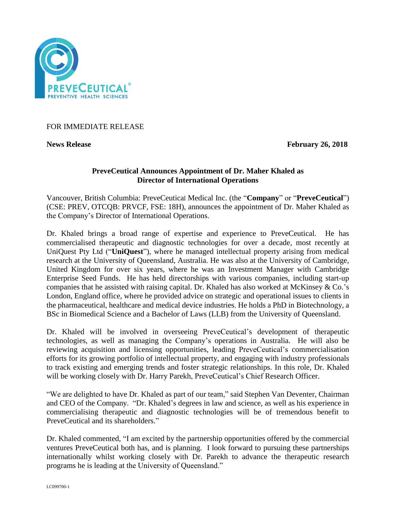

FOR IMMEDIATE RELEASE

**News Release** February 26, 2018

# **PreveCeutical Announces Appointment of Dr. Maher Khaled as Director of International Operations**

Vancouver, British Columbia: PreveCeutical Medical Inc. (the "**Company**" or "**PreveCeutical**") (CSE: PREV, OTCQB: PRVCF, FSE: 18H), announces the appointment of Dr. Maher Khaled as the Company's Director of International Operations.

Dr. Khaled brings a broad range of expertise and experience to PreveCeutical. He has commercialised therapeutic and diagnostic technologies for over a decade, most recently at UniQuest Pty Ltd ("**UniQuest**"), where he managed intellectual property arising from medical research at the University of Queensland, Australia. He was also at the University of Cambridge, United Kingdom for over six years, where he was an Investment Manager with Cambridge Enterprise Seed Funds. He has held directorships with various companies, including start-up companies that he assisted with raising capital. Dr. Khaled has also worked at McKinsey & Co.'s London, England office, where he provided advice on strategic and operational issues to clients in the pharmaceutical, healthcare and medical device industries. He holds a PhD in Biotechnology, a BSc in Biomedical Science and a Bachelor of Laws (LLB) from the University of Queensland.

Dr. Khaled will be involved in overseeing PreveCeutical's development of therapeutic technologies, as well as managing the Company's operations in Australia. He will also be reviewing acquisition and licensing opportunities, leading PreveCeutical's commercialisation efforts for its growing portfolio of intellectual property, and engaging with industry professionals to track existing and emerging trends and foster strategic relationships. In this role, Dr. Khaled will be working closely with Dr. Harry Parekh, PreveCeutical's Chief Research Officer.

"We are delighted to have Dr. Khaled as part of our team," said Stephen Van Deventer, Chairman and CEO of the Company. "Dr. Khaled's degrees in law and science, as well as his experience in commercialising therapeutic and diagnostic technologies will be of tremendous benefit to PreveCeutical and its shareholders."

Dr. Khaled commented, "I am excited by the partnership opportunities offered by the commercial ventures PreveCeutical both has, and is planning. I look forward to pursuing these partnerships internationally whilst working closely with Dr. Parekh to advance the therapeutic research programs he is leading at the University of Queensland."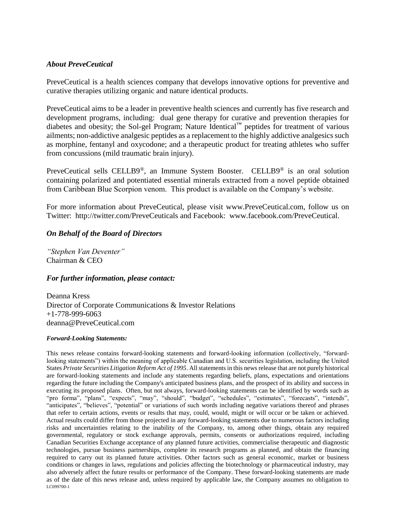## *About PreveCeutical*

PreveCeutical is a health sciences company that develops innovative options for preventive and curative therapies utilizing organic and nature identical products.

PreveCeutical aims to be a leader in preventive health sciences and currently has five research and development programs, including: dual gene therapy for curative and prevention therapies for diabetes and obesity; the Sol-gel Program; Nature Identical™ peptides for treatment of various ailments; non-addictive analgesic peptides as a replacement to the highly addictive analgesics such as morphine, fentanyl and oxycodone; and a therapeutic product for treating athletes who suffer from concussions (mild traumatic brain injury).

PreveCeutical sells CELLB9®, an Immune System Booster. CELLB9® is an oral solution containing polarized and potentiated essential minerals extracted from a novel peptide obtained from Caribbean Blue Scorpion venom. This product is available on the Company's website.

For more information about PreveCeutical, please visit www.PreveCeutical.com, follow us on Twitter: http://twitter.com/PreveCeuticals and Facebook: www.facebook.com/PreveCeutical.

## *On Behalf of the Board of Directors*

*"Stephen Van Deventer"* Chairman & CEO

### *For further information, please contact:*

Deanna Kress Director of Corporate Communications & Investor Relations +1-778-999-6063 deanna@PreveCeutical.com

#### *Forward-Looking Statements:*

LC099700-1 This news release contains forward-looking statements and forward-looking information (collectively, "forwardlooking statements") within the meaning of applicable Canadian and U.S. securities legislation, including the United States *Private Securities Litigation Reform Act of 1995*. All statements in this news release that are not purely historical are forward-looking statements and include any statements regarding beliefs, plans, expectations and orientations regarding the future including the Company's anticipated business plans, and the prospect of its ability and success in executing its proposed plans. Often, but not always, forward-looking statements can be identified by words such as "pro forma", "plans", "expects", "may", "should", "budget", "schedules", "estimates", "forecasts", "intends", "anticipates", "believes", "potential" or variations of such words including negative variations thereof and phrases that refer to certain actions, events or results that may, could, would, might or will occur or be taken or achieved. Actual results could differ from those projected in any forward-looking statements due to numerous factors including risks and uncertainties relating to the inability of the Company, to, among other things, obtain any required governmental, regulatory or stock exchange approvals, permits, consents or authorizations required, including Canadian Securities Exchange acceptance of any planned future activities, commercialise therapeutic and diagnostic technologies, pursue business partnerships, complete its research programs as planned, and obtain the financing required to carry out its planned future activities. Other factors such as general economic, market or business conditions or changes in laws, regulations and policies affecting the biotechnology or pharmaceutical industry, may also adversely affect the future results or performance of the Company. These forward-looking statements are made as of the date of this news release and, unless required by applicable law, the Company assumes no obligation to